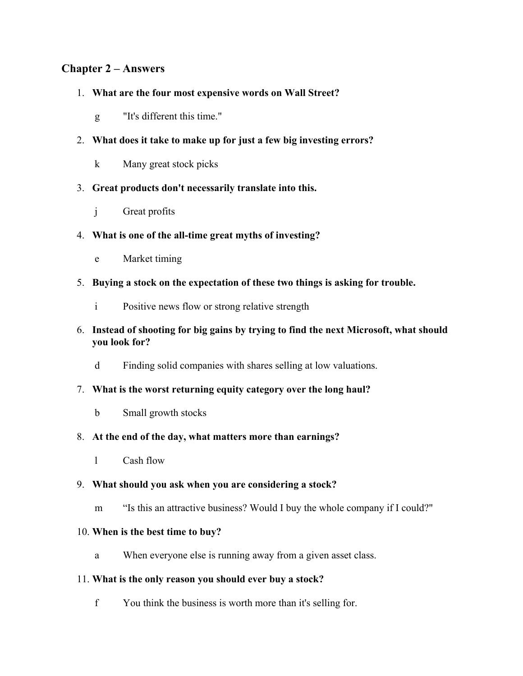### **Chapter 2 – Answers**

#### 1. **What are the four most expensive words on Wall Street?**

- g "It's different this time."
- 2. **What does it take to make up for just a few big investing errors?**
	- k Many great stock picks
- 3. **Great products don't necessarily translate into this.**
	- j Great profits

### 4. **What is one of the all-time great myths of investing?**

- e Market timing
- 5. **Buying a stock on the expectation of these two things is asking for trouble.**
	- i Positive news flow or strong relative strength

#### 6. **Instead of shooting for big gains by trying to find the next Microsoft, what should you look for?**

d Finding solid companies with shares selling at low valuations.

#### 7. **What is the worst returning equity category over the long haul?**

b Small growth stocks

#### 8. **At the end of the day, what matters more than earnings?**

l Cash flow

#### 9. **What should you ask when you are considering a stock?**

m "Is this an attractive business? Would I buy the whole company if I could?"

#### 10. **When is the best time to buy?**

a When everyone else is running away from a given asset class.

#### 11. **What is the only reason you should ever buy a stock?**

f You think the business is worth more than it's selling for.